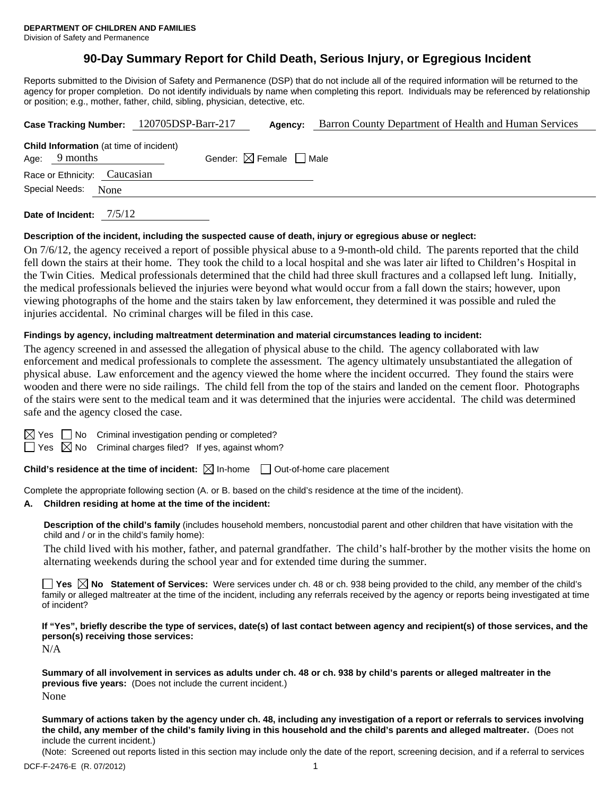# **90-Day Summary Report for Child Death, Serious Injury, or Egregious Incident**

Reports submitted to the Division of Safety and Permanence (DSP) that do not include all of the required information will be returned to the agency for proper completion. Do not identify individuals by name when completing this report. Individuals may be referenced by relationship or position; e.g., mother, father, child, sibling, physician, detective, etc.

|                                                                                                             |  |                              | Case Tracking Number: 120705DSP-Barr-217 |  | Barron County Department of Health and Human Services |  |  |  |
|-------------------------------------------------------------------------------------------------------------|--|------------------------------|------------------------------------------|--|-------------------------------------------------------|--|--|--|
| <b>Child Information</b> (at time of incident)<br>Gender: $\boxtimes$ Female $\Box$ Male<br>Age: $9$ months |  |                              |                                          |  |                                                       |  |  |  |
|                                                                                                             |  | Race or Ethnicity: Caucasian |                                          |  |                                                       |  |  |  |
| Special Needs:<br>None                                                                                      |  |                              |                                          |  |                                                       |  |  |  |
|                                                                                                             |  |                              |                                          |  |                                                       |  |  |  |

**Date of Incident:** 7/5/12

#### **Description of the incident, including the suspected cause of death, injury or egregious abuse or neglect:**

On 7/6/12, the agency received a report of possible physical abuse to a 9-month-old child. The parents reported that the child fell down the stairs at their home. They took the child to a local hospital and she was later air lifted to Children's Hospital in the Twin Cities. Medical professionals determined that the child had three skull fractures and a collapsed left lung. Initially, the medical professionals believed the injuries were beyond what would occur from a fall down the stairs; however, upon viewing photographs of the home and the stairs taken by law enforcement, they determined it was possible and ruled the injuries accidental. No criminal charges will be filed in this case.

#### **Findings by agency, including maltreatment determination and material circumstances leading to incident:**

The agency screened in and assessed the allegation of physical abuse to the child. The agency collaborated with law enforcement and medical professionals to complete the assessment. The agency ultimately unsubstantiated the allegation of physical abuse. Law enforcement and the agency viewed the home where the incident occurred. They found the stairs were wooden and there were no side railings. The child fell from the top of the stairs and landed on the cement floor. Photographs of the stairs were sent to the medical team and it was determined that the injuries were accidental. The child was determined safe and the agency closed the case.

| × |
|---|
|   |

 $\Box$  No Criminal investigation pending or completed?

 $\Box$  Yes  $\boxtimes$  No Criminal charges filed? If yes, against whom?

**Child's residence at the time of incident:**  $\boxtimes$  In-home  $\Box$  Out-of-home care placement

Complete the appropriate following section (A. or B. based on the child's residence at the time of the incident).

#### **A. Children residing at home at the time of the incident:**

**Description of the child's family** (includes household members, noncustodial parent and other children that have visitation with the child and / or in the child's family home):

The child lived with his mother, father, and paternal grandfather. The child's half-brother by the mother visits the home on alternating weekends during the school year and for extended time during the summer.

**Yes**  $\boxtimes$  **No** Statement of Services: Were services under ch. 48 or ch. 938 being provided to the child, any member of the child's family or alleged maltreater at the time of the incident, including any referrals received by the agency or reports being investigated at time of incident?

**If "Yes", briefly describe the type of services, date(s) of last contact between agency and recipient(s) of those services, and the person(s) receiving those services:** 

N/A

**Summary of all involvement in services as adults under ch. 48 or ch. 938 by child's parents or alleged maltreater in the previous five years:** (Does not include the current incident.) None

**Summary of actions taken by the agency under ch. 48, including any investigation of a report or referrals to services involving the child, any member of the child's family living in this household and the child's parents and alleged maltreater.** (Does not include the current incident.)

(Note: Screened out reports listed in this section may include only the date of the report, screening decision, and if a referral to services